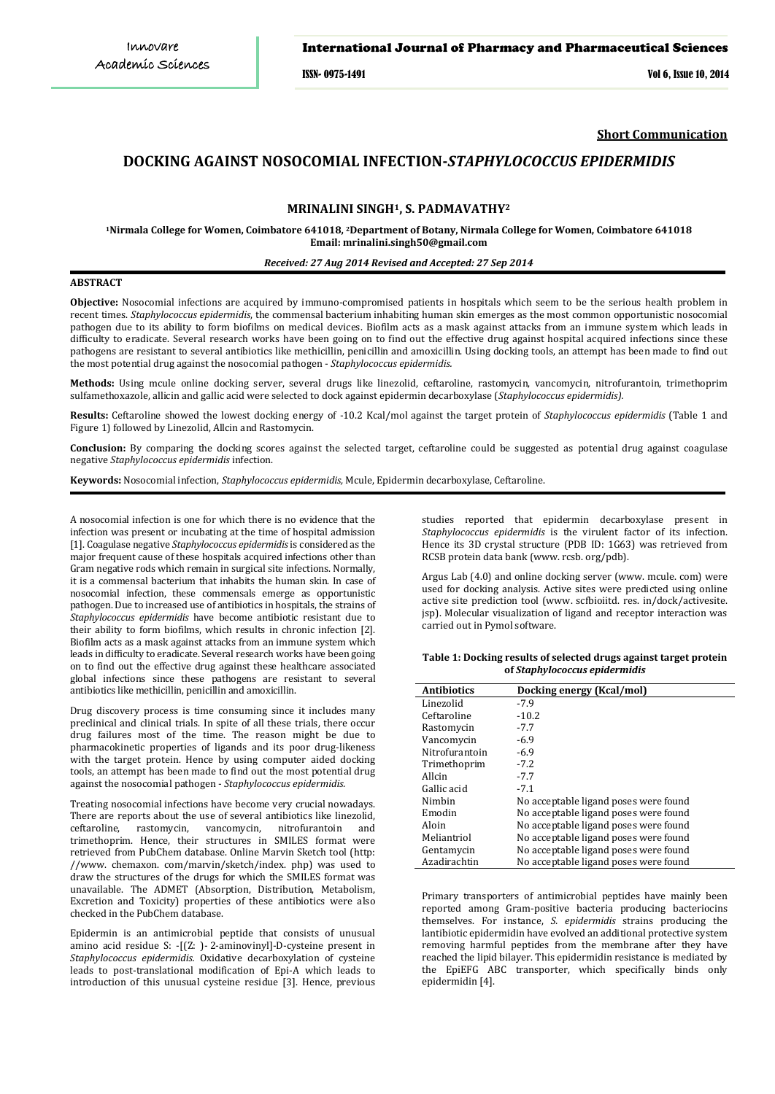#### International Journal of Pharmacy and Pharmaceutical Sciences

ISSN- 0975-1491 Vol 6, Issue 10, 2014

**Short Communication**

# **DOCKING AGAINST NOSOCOMIAL INFECTION-***STAPHYLOCOCCUS EPIDERMIDIS*

## **MRINALINI SINGH1, S. PADMAVATHY<sup>2</sup>**

**<sup>1</sup>Nirmala College for Women, Coimbatore 641018, <sup>2</sup>Department of Botany, Nirmala College for Women, Coimbatore 641018 Email: mrinalini.singh50@gmail.com**

#### *Received: 27 Aug 2014 Revised and Accepted: 27 Sep 2014*

#### **ABSTRACT**

**Objective:** Nosocomial infections are acquired by immuno-compromised patients in hospitals which seem to be the serious health problem in recent times. *Staphylococcus epidermidis*, the commensal bacterium inhabiting human skin emerges as the most common opportunistic nosocomial pathogen due to its ability to form biofilms on medical devices. Biofilm acts as a mask against attacks from an immune system which leads in difficulty to eradicate. Several research works have been going on to find out the effective drug against hospital acquired infections since these pathogens are resistant to several antibiotics like methicillin, penicillin and amoxicillin. Using docking tools, an attempt has been made to find out the most potential drug against the nosocomial pathogen - *Staphylococcus epidermidis.*

**Methods:** Using mcule online docking server, several drugs like linezolid, ceftaroline, rastomycin, vancomycin, nitrofurantoin, trimethoprim sulfamethoxazole, allicin and gallic acid were selected to dock against epidermin decarboxylase (*Staphylococcus epidermidis).*

**Results:** Ceftaroline showed the lowest docking energy of -10.2 Kcal/mol against the target protein of *Staphylococcus epidermidis* (Table 1 and Figure 1) followed by Linezolid, Allcin and Rastomycin.

**Conclusion:** By comparing the docking scores against the selected target, ceftaroline could be suggested as potential drug against coagulase negative *Staphylococcus epidermidis* infection.

**Keywords:** Nosocomial infection, *Staphylococcus epidermidis,* Mcule, Epidermin decarboxylase, Ceftaroline.

A nosocomial infection is one for which there is no evidence that the infection was present or incubating at the time of hospital admission [1]. Coagulase negative *Staphylococcus epidermidis* is considered as the major frequent cause of these hospitals acquired infections other than Gram negative rods which remain in surgical site infections. Normally, it is a commensal bacterium that inhabits the human skin. In case of nosocomial infection, these commensals emerge as opportunistic pathogen. Due to increased use of antibiotics in hospitals, the strains of *Staphylococcus epidermidis* have become antibiotic resistant due to their ability to form biofilms, which results in chronic infection [2]. Biofilm acts as a mask against attacks from an immune system which leads in difficulty to eradicate. Several research works have been going on to find out the effective drug against these healthcare associated global infections since these pathogens are resistant to several antibiotics like methicillin, penicillin and amoxicillin.

Drug discovery process is time consuming since it includes many preclinical and clinical trials. In spite of all these trials, there occur drug failures most of the time. The reason might be due to pharmacokinetic properties of ligands and its poor drug-likeness with the target protein. Hence by using computer aided docking tools, an attempt has been made to find out the most potential drug against the nosocomial pathogen - *Staphylococcus epidermidis.*

Treating nosocomial infections have become very crucial nowadays. There are reports about the use of several antibiotics like linezolid, ceftaroline, rastomycin, vancomycin, nitrofurantoin and ceftaroline, rastomycin, vancomycin, nitrofurantoin trimethoprim. Hence, their structures in SMILES format were retrieved from PubChem database. Online Marvin Sketch tool (http: //www. chemaxon. com/marvin/sketch/index. php) was used to draw the structures of the drugs for which the SMILES format was unavailable. The ADMET (Absorption, Distribution, Metabolism, Excretion and Toxicity) properties of these antibiotics were also checked in the PubChem database.

Epidermin is an antimicrobial peptide that consists of unusual amino acid residue S: -[(Z: )- 2-aminovinyl]-D-cysteine present in *Staphylococcus epidermidis.* Oxidative decarboxylation of cysteine leads to post-translational modification of Epi-A which leads to introduction of this unusual cysteine residue [3]. Hence, previous studies reported that epidermin decarboxylase present in *Staphylococcus epidermidis* is the virulent factor of its infection. Hence its 3D crystal structure (PDB ID: 1G63) was retrieved from RCSB protein data bank [\(www. rcsb. org/pdb\)](http://www.rcsb.org/pdb).

Argus Lab (4.0) and online docking server [\(www. mcule. com\)](http://www.mcule.com/) were used for docking analysis. Active sites were predicted using online active site prediction tool [\(www. scfbioiitd. res. in/dock/activesite.](http://www.scfbioiitd.res.in/dock/activesite.jsp)  [jsp\)](http://www.scfbioiitd.res.in/dock/activesite.jsp). Molecular visualization of ligand and receptor interaction was carried out in Pymol software.

**Table 1: Docking results of selected drugs against target protein of** *Staphylococcus epidermidis*

| <b>Antibiotics</b> | Docking energy (Kcal/mol)             |
|--------------------|---------------------------------------|
| Linezolid          | $-7.9$                                |
| Ceftaroline        | $-10.2$                               |
| Rastomycin         | $-7.7$                                |
| Vancomycin         | $-6.9$                                |
| Nitrofurantoin     | $-6.9$                                |
| Trimethoprim       | $-7.2$                                |
| Allcin             | $-7.7$                                |
| Gallic acid        | $-7.1$                                |
| Nimbin             | No acceptable ligand poses were found |
| Emodin             | No acceptable ligand poses were found |
| Aloin              | No acceptable ligand poses were found |
| Meliantriol        | No acceptable ligand poses were found |
| Gentamycin         | No acceptable ligand poses were found |
| Azadirachtin       | No acceptable ligand poses were found |

Primary transporters of antimicrobial peptides have mainly been reported among Gram-positive bacteria producing bacteriocins themselves. For instance, *S. epidermidis* strains producing the lantibiotic epidermidin have evolved an additional protective system removing harmful peptides from the membrane after they have reached the lipid bilayer. This epidermidin resistance is mediated by the EpiEFG ABC transporter, which specifically binds only epidermidin [4].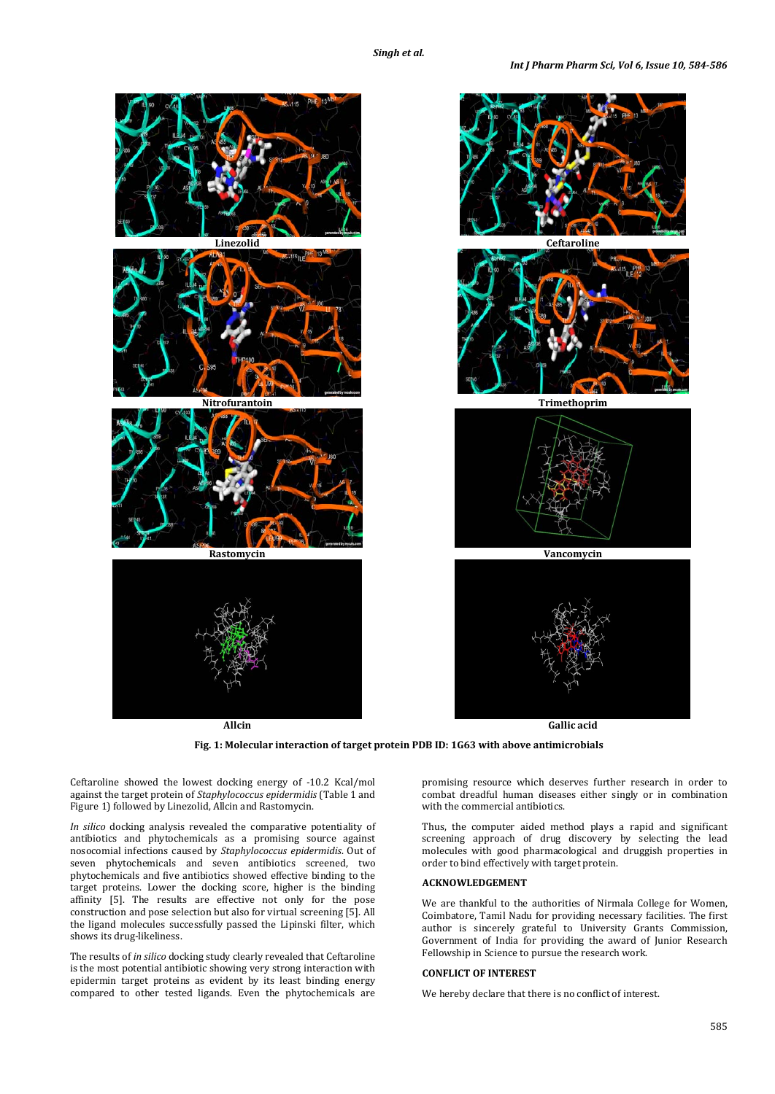

**SEA** 

**Fig. 1: Molecular interaction of target protein PDB ID: 1G63 with above antimicrobials**

Ceftaroline showed the lowest docking energy of -10.2 Kcal/mol against the target protein of *Staphylococcus epidermidis* (Table 1 and Figure 1) followed by Linezolid, Allcin and Rastomycin.

*In silico* docking analysis revealed the comparative potentiality of antibiotics and phytochemicals as a promising source against nosocomial infections caused by *Staphylococcus epidermidis*. Out of seven phytochemicals and seven antibiotics screened, two phytochemicals and five antibiotics showed effective binding to the target proteins. Lower the docking score, higher is the binding affinity [5]. The results are effective not only for the pose construction and pose selection but also for virtual screening [5]. All the ligand molecules successfully passed the Lipinski filter, which shows its drug-likeliness.

The results of *in silico* docking study clearly revealed that Ceftaroline is the most potential antibiotic showing very strong interaction with epidermin target proteins as evident by its least binding energy compared to other tested ligands. Even the phytochemicals are

promising resource which deserves further research in order to combat dreadful human diseases either singly or in combination with the commercial antibiotics.

Thus, the computer aided method plays a rapid and significant screening approach of drug discovery by selecting the lead molecules with good pharmacological and druggish properties in order to bind effectively with target protein.

## **ACKNOWLEDGEMENT**

We are thankful to the authorities of Nirmala College for Women, Coimbatore, Tamil Nadu for providing necessary facilities. The first author is sincerely grateful to University Grants Commission, Government of India for providing the award of Junior Research Fellowship in Science to pursue the research work.

#### **CONFLICT OF INTEREST**

We hereby declare that there is no conflict of interest.